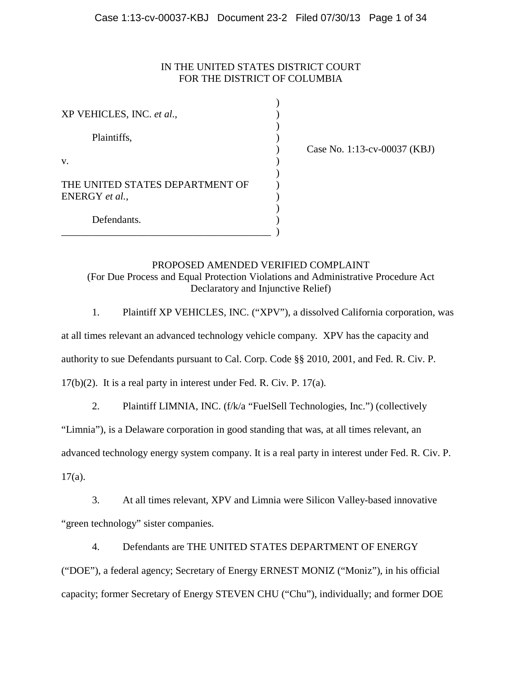# IN THE UNITED STATES DISTRICT COURT FOR THE DISTRICT OF COLUMBIA

| XP VEHICLES, INC. et al.,                         |  |
|---------------------------------------------------|--|
| Plaintiffs,                                       |  |
| V.                                                |  |
| THE UNITED STATES DEPARTMENT OF<br>ENERGY et al., |  |
| Defendants.                                       |  |

) Case No. 1:13-cv-00037 (KBJ)

# PROPOSED AMENDED VERIFIED COMPLAINT (For Due Process and Equal Protection Violations and Administrative Procedure Act Declaratory and Injunctive Relief)

1. Plaintiff XP VEHICLES, INC. ("XPV"), a dissolved California corporation, was

at all times relevant an advanced technology vehicle company. XPV has the capacity and

authority to sue Defendants pursuant to Cal. Corp. Code §§ 2010, 2001, and Fed. R. Civ. P.

17(b)(2). It is a real party in interest under Fed. R. Civ. P. 17(a).

2. Plaintiff LIMNIA, INC. (f/k/a "FuelSell Technologies, Inc.") (collectively

"Limnia"), is a Delaware corporation in good standing that was, at all times relevant, an

advanced technology energy system company. It is a real party in interest under Fed. R. Civ. P.

 $17(a)$ .

3. At all times relevant, XPV and Limnia were Silicon Valley-based innovative "green technology" sister companies.

4. Defendants are THE UNITED STATES DEPARTMENT OF ENERGY

("DOE"), a federal agency; Secretary of Energy ERNEST MONIZ ("Moniz"), in his official capacity; former Secretary of Energy STEVEN CHU ("Chu"), individually; and former DOE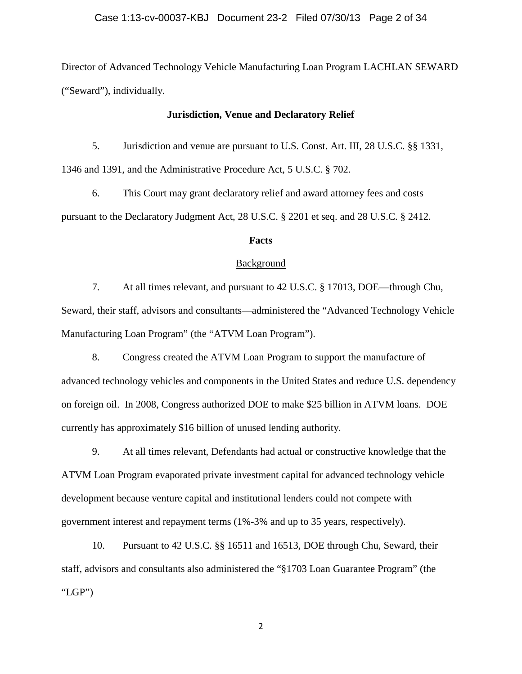Director of Advanced Technology Vehicle Manufacturing Loan Program LACHLAN SEWARD ("Seward"), individually.

#### **Jurisdiction, Venue and Declaratory Relief**

5. Jurisdiction and venue are pursuant to U.S. Const. Art. III, 28 U.S.C. §§ 1331, 1346 and 1391, and the Administrative Procedure Act, 5 U.S.C. § 702.

6. This Court may grant declaratory relief and award attorney fees and costs pursuant to the Declaratory Judgment Act, 28 U.S.C. § 2201 et seq. and 28 U.S.C. § 2412.

# **Facts**

## Background

7. At all times relevant, and pursuant to 42 U.S.C. § 17013, DOE—through Chu, Seward, their staff, advisors and consultants—administered the "Advanced Technology Vehicle Manufacturing Loan Program" (the "ATVM Loan Program").

8. Congress created the ATVM Loan Program to support the manufacture of advanced technology vehicles and components in the United States and reduce U.S. dependency on foreign oil. In 2008, Congress authorized DOE to make \$25 billion in ATVM loans. DOE currently has approximately \$16 billion of unused lending authority.

9. At all times relevant, Defendants had actual or constructive knowledge that the ATVM Loan Program evaporated private investment capital for advanced technology vehicle development because venture capital and institutional lenders could not compete with government interest and repayment terms (1%-3% and up to 35 years, respectively).

10. Pursuant to 42 U.S.C. §§ 16511 and 16513, DOE through Chu, Seward, their staff, advisors and consultants also administered the "§1703 Loan Guarantee Program" (the "LGP")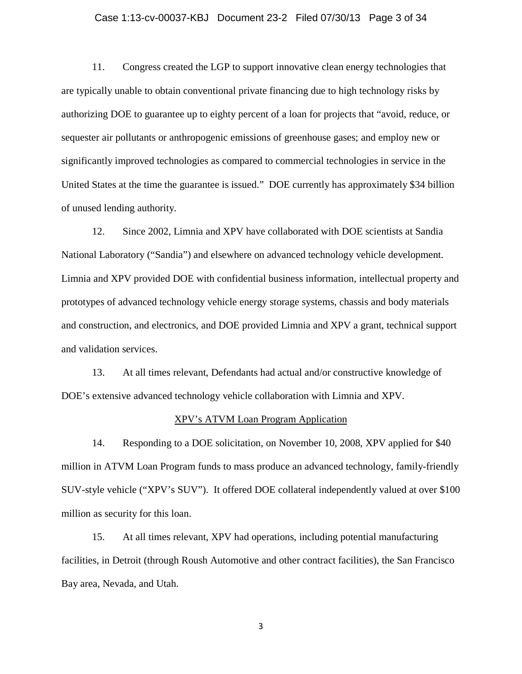#### Case 1:13-cv-00037-KBJ Document 23-2 Filed 07/30/13 Page 3 of 34

11. Congress created the LGP to support innovative clean energy technologies that are typically unable to obtain conventional private financing due to high technology risks by authorizing DOE to guarantee up to eighty percent of a loan for projects that "avoid, reduce, or sequester air pollutants or anthropogenic emissions of greenhouse gases; and employ new or significantly improved technologies as compared to commercial technologies in service in the United States at the time the guarantee is issued." DOE currently has approximately \$34 billion of unused lending authority.

12. Since 2002, Limnia and XPV have collaborated with DOE scientists at Sandia National Laboratory ("Sandia") and elsewhere on advanced technology vehicle development. Limnia and XPV provided DOE with confidential business information, intellectual property and prototypes of advanced technology vehicle energy storage systems, chassis and body materials and construction, and electronics, and DOE provided Limnia and XPV a grant, technical support and validation services.

13. At all times relevant, Defendants had actual and/or constructive knowledge of DOE's extensive advanced technology vehicle collaboration with Limnia and XPV.

#### XPV's ATVM Loan Program Application

14. Responding to a DOE solicitation, on November 10, 2008, XPV applied for \$40 million in ATVM Loan Program funds to mass produce an advanced technology, family-friendly SUV-style vehicle ("XPV's SUV"). It offered DOE collateral independently valued at over \$100 million as security for this loan.

15. At all times relevant, XPV had operations, including potential manufacturing facilities, in Detroit (through Roush Automotive and other contract facilities), the San Francisco Bay area, Nevada, and Utah.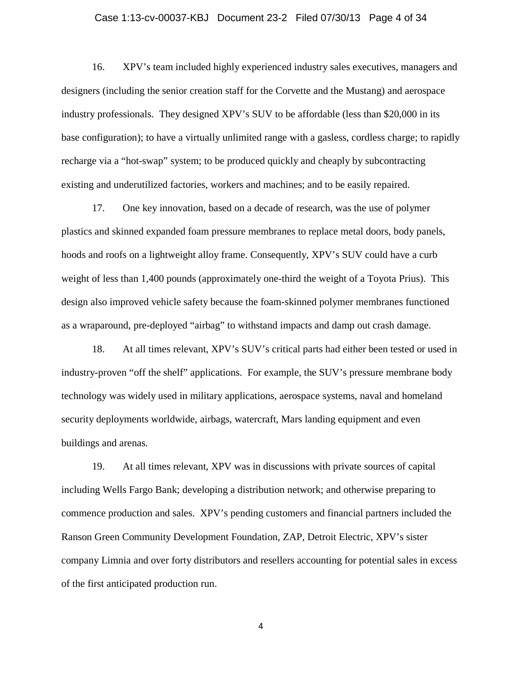## Case 1:13-cv-00037-KBJ Document 23-2 Filed 07/30/13 Page 4 of 34

16. XPV's team included highly experienced industry sales executives, managers and designers (including the senior creation staff for the Corvette and the Mustang) and aerospace industry professionals. They designed XPV's SUV to be affordable (less than \$20,000 in its base configuration); to have a virtually unlimited range with a gasless, cordless charge; to rapidly recharge via a "hot-swap" system; to be produced quickly and cheaply by subcontracting existing and underutilized factories, workers and machines; and to be easily repaired.

17. One key innovation, based on a decade of research, was the use of polymer plastics and skinned expanded foam pressure membranes to replace metal doors, body panels, hoods and roofs on a lightweight alloy frame. Consequently, XPV's SUV could have a curb weight of less than 1,400 pounds (approximately one-third the weight of a Toyota Prius). This design also improved vehicle safety because the foam-skinned polymer membranes functioned as a wraparound, pre-deployed "airbag" to withstand impacts and damp out crash damage.

18. At all times relevant, XPV's SUV's critical parts had either been tested or used in industry-proven "off the shelf" applications. For example, the SUV's pressure membrane body technology was widely used in military applications, aerospace systems, naval and homeland security deployments worldwide, airbags, watercraft, Mars landing equipment and even buildings and arenas.

19. At all times relevant, XPV was in discussions with private sources of capital including Wells Fargo Bank; developing a distribution network; and otherwise preparing to commence production and sales. XPV's pending customers and financial partners included the Ranson Green Community Development Foundation, ZAP, Detroit Electric, XPV's sister company Limnia and over forty distributors and resellers accounting for potential sales in excess of the first anticipated production run.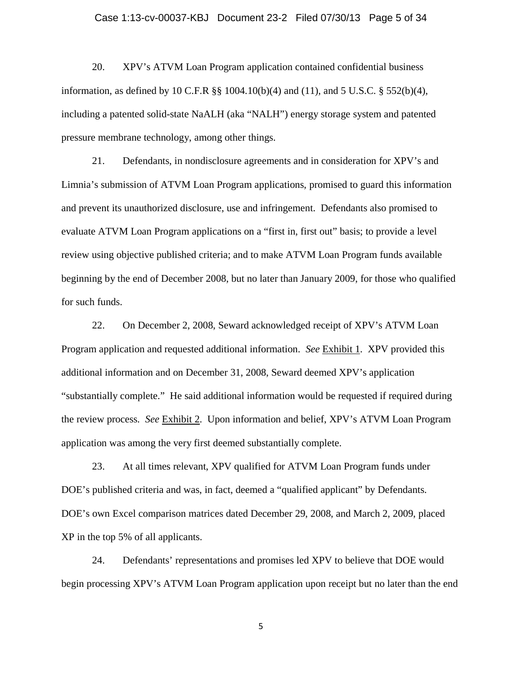# Case 1:13-cv-00037-KBJ Document 23-2 Filed 07/30/13 Page 5 of 34

20. XPV's ATVM Loan Program application contained confidential business information, as defined by 10 C.F.R §§ 1004.10(b)(4) and (11), and 5 U.S.C. § 552(b)(4), including a patented solid-state NaALH (aka "NALH") energy storage system and patented pressure membrane technology, among other things.

21. Defendants, in nondisclosure agreements and in consideration for XPV's and Limnia's submission of ATVM Loan Program applications, promised to guard this information and prevent its unauthorized disclosure, use and infringement. Defendants also promised to evaluate ATVM Loan Program applications on a "first in, first out" basis; to provide a level review using objective published criteria; and to make ATVM Loan Program funds available beginning by the end of December 2008, but no later than January 2009, for those who qualified for such funds.

22. On December 2, 2008, Seward acknowledged receipt of XPV's ATVM Loan Program application and requested additional information. *See* Exhibit 1. XPV provided this additional information and on December 31, 2008, Seward deemed XPV's application "substantially complete." He said additional information would be requested if required during the review process. *See* Exhibit 2. Upon information and belief, XPV's ATVM Loan Program application was among the very first deemed substantially complete.

23. At all times relevant, XPV qualified for ATVM Loan Program funds under DOE's published criteria and was, in fact, deemed a "qualified applicant" by Defendants. DOE's own Excel comparison matrices dated December 29, 2008, and March 2, 2009, placed XP in the top 5% of all applicants.

24. Defendants' representations and promises led XPV to believe that DOE would begin processing XPV's ATVM Loan Program application upon receipt but no later than the end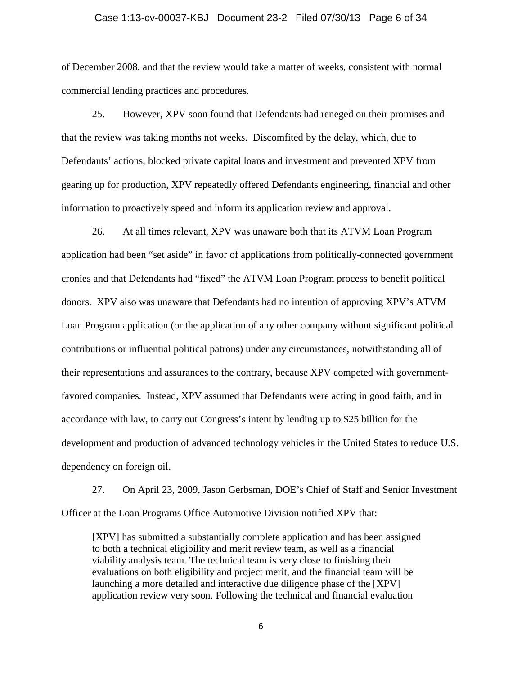#### Case 1:13-cv-00037-KBJ Document 23-2 Filed 07/30/13 Page 6 of 34

of December 2008, and that the review would take a matter of weeks, consistent with normal commercial lending practices and procedures.

25. However, XPV soon found that Defendants had reneged on their promises and that the review was taking months not weeks. Discomfited by the delay, which, due to Defendants' actions, blocked private capital loans and investment and prevented XPV from gearing up for production, XPV repeatedly offered Defendants engineering, financial and other information to proactively speed and inform its application review and approval.

26. At all times relevant, XPV was unaware both that its ATVM Loan Program application had been "set aside" in favor of applications from politically-connected government cronies and that Defendants had "fixed" the ATVM Loan Program process to benefit political donors. XPV also was unaware that Defendants had no intention of approving XPV's ATVM Loan Program application (or the application of any other company without significant political contributions or influential political patrons) under any circumstances, notwithstanding all of their representations and assurances to the contrary, because XPV competed with governmentfavored companies. Instead, XPV assumed that Defendants were acting in good faith, and in accordance with law, to carry out Congress's intent by lending up to \$25 billion for the development and production of advanced technology vehicles in the United States to reduce U.S. dependency on foreign oil.

27. On April 23, 2009, Jason Gerbsman, DOE's Chief of Staff and Senior Investment Officer at the Loan Programs Office Automotive Division notified XPV that:

[XPV] has submitted a substantially complete application and has been assigned to both a technical eligibility and merit review team, as well as a financial viability analysis team. The technical team is very close to finishing their evaluations on both eligibility and project merit, and the financial team will be launching a more detailed and interactive due diligence phase of the [XPV] application review very soon. Following the technical and financial evaluation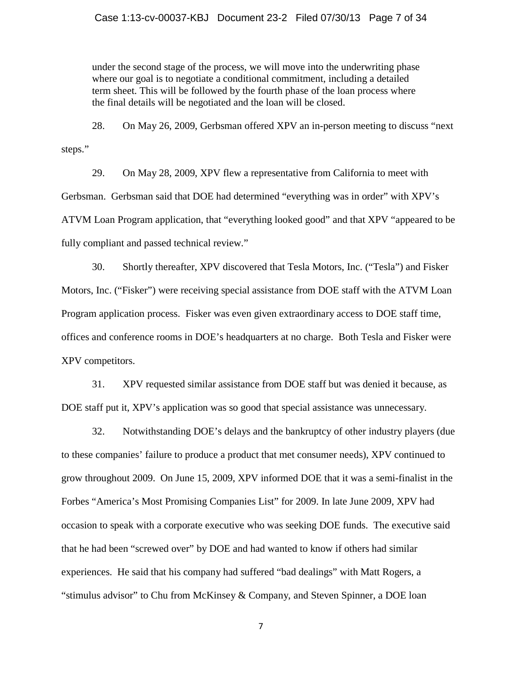under the second stage of the process, we will move into the underwriting phase where our goal is to negotiate a conditional commitment, including a detailed term sheet. This will be followed by the fourth phase of the loan process where the final details will be negotiated and the loan will be closed.

28. On May 26, 2009, Gerbsman offered XPV an in-person meeting to discuss "next steps."

29. On May 28, 2009, XPV flew a representative from California to meet with Gerbsman. Gerbsman said that DOE had determined "everything was in order" with XPV's ATVM Loan Program application, that "everything looked good" and that XPV "appeared to be fully compliant and passed technical review."

30. Shortly thereafter, XPV discovered that Tesla Motors, Inc. ("Tesla") and Fisker Motors, Inc. ("Fisker") were receiving special assistance from DOE staff with the ATVM Loan Program application process. Fisker was even given extraordinary access to DOE staff time, offices and conference rooms in DOE's headquarters at no charge. Both Tesla and Fisker were XPV competitors.

31. XPV requested similar assistance from DOE staff but was denied it because, as DOE staff put it, XPV's application was so good that special assistance was unnecessary.

32. Notwithstanding DOE's delays and the bankruptcy of other industry players (due to these companies' failure to produce a product that met consumer needs), XPV continued to grow throughout 2009. On June 15, 2009, XPV informed DOE that it was a semi-finalist in the Forbes "America's Most Promising Companies List" for 2009. In late June 2009, XPV had occasion to speak with a corporate executive who was seeking DOE funds. The executive said that he had been "screwed over" by DOE and had wanted to know if others had similar experiences. He said that his company had suffered "bad dealings" with Matt Rogers, a "stimulus advisor" to Chu from McKinsey & Company, and Steven Spinner, a DOE loan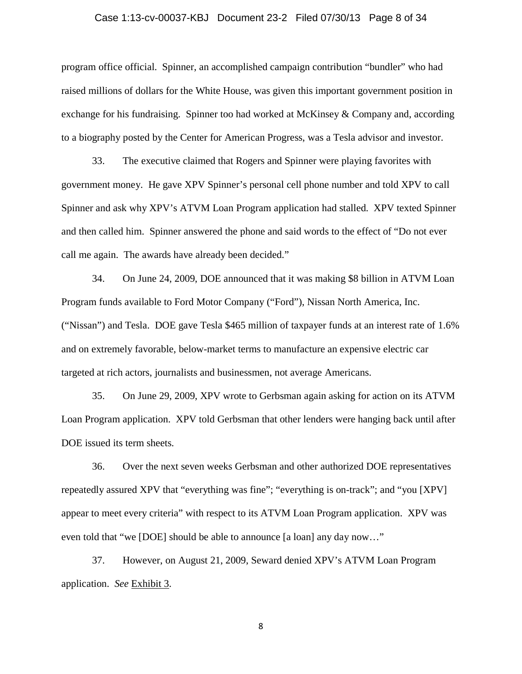## Case 1:13-cv-00037-KBJ Document 23-2 Filed 07/30/13 Page 8 of 34

program office official. Spinner, an accomplished campaign contribution "bundler" who had raised millions of dollars for the White House, was given this important government position in exchange for his fundraising. Spinner too had worked at McKinsey & Company and, according to a biography posted by the Center for American Progress, was a Tesla advisor and investor.

33. The executive claimed that Rogers and Spinner were playing favorites with government money. He gave XPV Spinner's personal cell phone number and told XPV to call Spinner and ask why XPV's ATVM Loan Program application had stalled. XPV texted Spinner and then called him. Spinner answered the phone and said words to the effect of "Do not ever call me again. The awards have already been decided."

34. On June 24, 2009, DOE announced that it was making \$8 billion in ATVM Loan Program funds available to Ford Motor Company ("Ford"), Nissan North America, Inc. ("Nissan") and Tesla. DOE gave Tesla \$465 million of taxpayer funds at an interest rate of 1.6% and on extremely favorable, below-market terms to manufacture an expensive electric car targeted at rich actors, journalists and businessmen, not average Americans.

35. On June 29, 2009, XPV wrote to Gerbsman again asking for action on its ATVM Loan Program application. XPV told Gerbsman that other lenders were hanging back until after DOE issued its term sheets.

36. Over the next seven weeks Gerbsman and other authorized DOE representatives repeatedly assured XPV that "everything was fine"; "everything is on-track"; and "you [XPV] appear to meet every criteria" with respect to its ATVM Loan Program application. XPV was even told that "we [DOE] should be able to announce [a loan] any day now…"

37. However, on August 21, 2009, Seward denied XPV's ATVM Loan Program application. *See* Exhibit 3.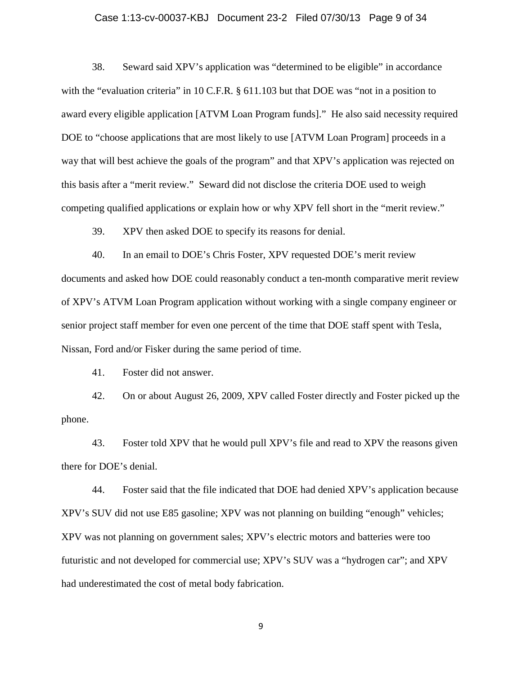#### Case 1:13-cv-00037-KBJ Document 23-2 Filed 07/30/13 Page 9 of 34

38. Seward said XPV's application was "determined to be eligible" in accordance with the "evaluation criteria" in 10 C.F.R. § 611.103 but that DOE was "not in a position to award every eligible application [ATVM Loan Program funds]." He also said necessity required DOE to "choose applications that are most likely to use [ATVM Loan Program] proceeds in a way that will best achieve the goals of the program" and that XPV's application was rejected on this basis after a "merit review." Seward did not disclose the criteria DOE used to weigh competing qualified applications or explain how or why XPV fell short in the "merit review."

39. XPV then asked DOE to specify its reasons for denial.

40. In an email to DOE's Chris Foster, XPV requested DOE's merit review documents and asked how DOE could reasonably conduct a ten-month comparative merit review of XPV's ATVM Loan Program application without working with a single company engineer or senior project staff member for even one percent of the time that DOE staff spent with Tesla, Nissan, Ford and/or Fisker during the same period of time.

41. Foster did not answer.

42. On or about August 26, 2009, XPV called Foster directly and Foster picked up the phone.

43. Foster told XPV that he would pull XPV's file and read to XPV the reasons given there for DOE's denial.

44. Foster said that the file indicated that DOE had denied XPV's application because XPV's SUV did not use E85 gasoline; XPV was not planning on building "enough" vehicles; XPV was not planning on government sales; XPV's electric motors and batteries were too futuristic and not developed for commercial use; XPV's SUV was a "hydrogen car"; and XPV had underestimated the cost of metal body fabrication.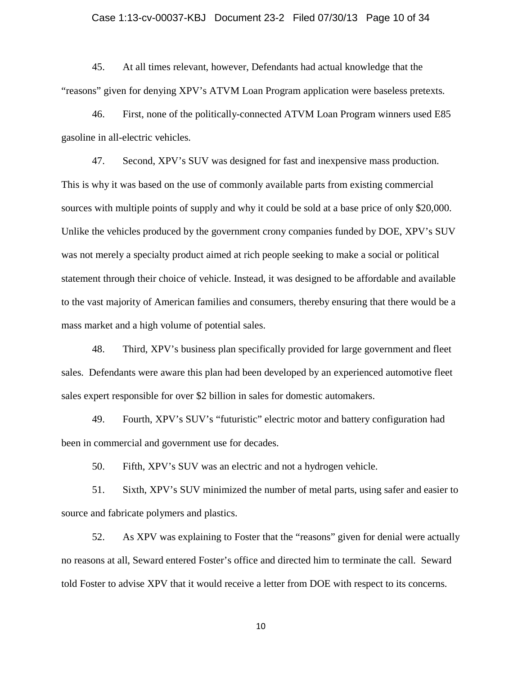## Case 1:13-cv-00037-KBJ Document 23-2 Filed 07/30/13 Page 10 of 34

45. At all times relevant, however, Defendants had actual knowledge that the "reasons" given for denying XPV's ATVM Loan Program application were baseless pretexts.

46. First, none of the politically-connected ATVM Loan Program winners used E85 gasoline in all-electric vehicles.

47. Second, XPV's SUV was designed for fast and inexpensive mass production. This is why it was based on the use of commonly available parts from existing commercial sources with multiple points of supply and why it could be sold at a base price of only \$20,000. Unlike the vehicles produced by the government crony companies funded by DOE, XPV's SUV was not merely a specialty product aimed at rich people seeking to make a social or political statement through their choice of vehicle. Instead, it was designed to be affordable and available to the vast majority of American families and consumers, thereby ensuring that there would be a mass market and a high volume of potential sales.

48. Third, XPV's business plan specifically provided for large government and fleet sales. Defendants were aware this plan had been developed by an experienced automotive fleet sales expert responsible for over \$2 billion in sales for domestic automakers.

49. Fourth, XPV's SUV's "futuristic" electric motor and battery configuration had been in commercial and government use for decades.

50. Fifth, XPV's SUV was an electric and not a hydrogen vehicle.

51. Sixth, XPV's SUV minimized the number of metal parts, using safer and easier to source and fabricate polymers and plastics.

52. As XPV was explaining to Foster that the "reasons" given for denial were actually no reasons at all, Seward entered Foster's office and directed him to terminate the call. Seward told Foster to advise XPV that it would receive a letter from DOE with respect to its concerns.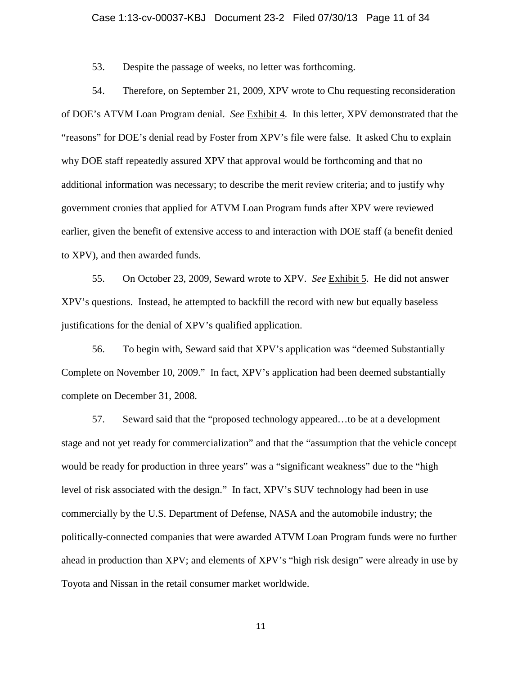## Case 1:13-cv-00037-KBJ Document 23-2 Filed 07/30/13 Page 11 of 34

53. Despite the passage of weeks, no letter was forthcoming.

54. Therefore, on September 21, 2009, XPV wrote to Chu requesting reconsideration of DOE's ATVM Loan Program denial. *See* Exhibit 4. In this letter, XPV demonstrated that the "reasons" for DOE's denial read by Foster from XPV's file were false. It asked Chu to explain why DOE staff repeatedly assured XPV that approval would be forthcoming and that no additional information was necessary; to describe the merit review criteria; and to justify why government cronies that applied for ATVM Loan Program funds after XPV were reviewed earlier, given the benefit of extensive access to and interaction with DOE staff (a benefit denied to XPV), and then awarded funds.

55. On October 23, 2009, Seward wrote to XPV. *See* Exhibit 5. He did not answer XPV's questions. Instead, he attempted to backfill the record with new but equally baseless justifications for the denial of XPV's qualified application.

56. To begin with, Seward said that XPV's application was "deemed Substantially Complete on November 10, 2009." In fact, XPV's application had been deemed substantially complete on December 31, 2008.

57. Seward said that the "proposed technology appeared…to be at a development stage and not yet ready for commercialization" and that the "assumption that the vehicle concept would be ready for production in three years" was a "significant weakness" due to the "high level of risk associated with the design." In fact, XPV's SUV technology had been in use commercially by the U.S. Department of Defense, NASA and the automobile industry; the politically-connected companies that were awarded ATVM Loan Program funds were no further ahead in production than XPV; and elements of XPV's "high risk design" were already in use by Toyota and Nissan in the retail consumer market worldwide.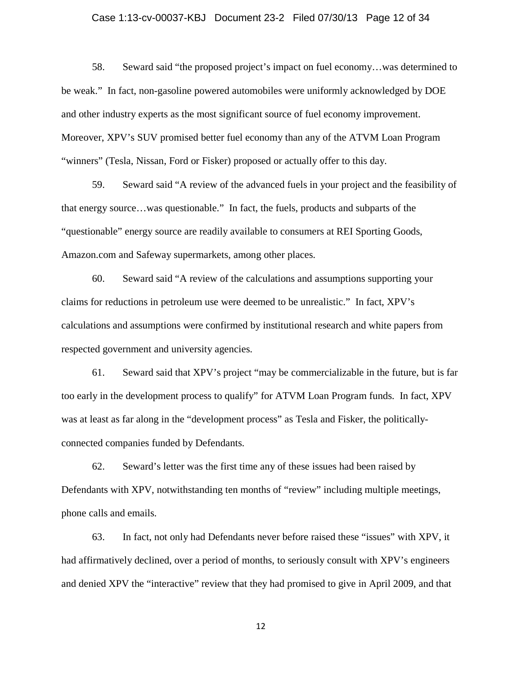## Case 1:13-cv-00037-KBJ Document 23-2 Filed 07/30/13 Page 12 of 34

58. Seward said "the proposed project's impact on fuel economy…was determined to be weak." In fact, non-gasoline powered automobiles were uniformly acknowledged by DOE and other industry experts as the most significant source of fuel economy improvement. Moreover, XPV's SUV promised better fuel economy than any of the ATVM Loan Program "winners" (Tesla, Nissan, Ford or Fisker) proposed or actually offer to this day.

59. Seward said "A review of the advanced fuels in your project and the feasibility of that energy source…was questionable." In fact, the fuels, products and subparts of the "questionable" energy source are readily available to consumers at REI Sporting Goods, Amazon.com and Safeway supermarkets, among other places.

60. Seward said "A review of the calculations and assumptions supporting your claims for reductions in petroleum use were deemed to be unrealistic." In fact, XPV's calculations and assumptions were confirmed by institutional research and white papers from respected government and university agencies.

61. Seward said that XPV's project "may be commercializable in the future, but is far too early in the development process to qualify" for ATVM Loan Program funds. In fact, XPV was at least as far along in the "development process" as Tesla and Fisker, the politicallyconnected companies funded by Defendants.

62. Seward's letter was the first time any of these issues had been raised by Defendants with XPV, notwithstanding ten months of "review" including multiple meetings, phone calls and emails.

63. In fact, not only had Defendants never before raised these "issues" with XPV, it had affirmatively declined, over a period of months, to seriously consult with XPV's engineers and denied XPV the "interactive" review that they had promised to give in April 2009, and that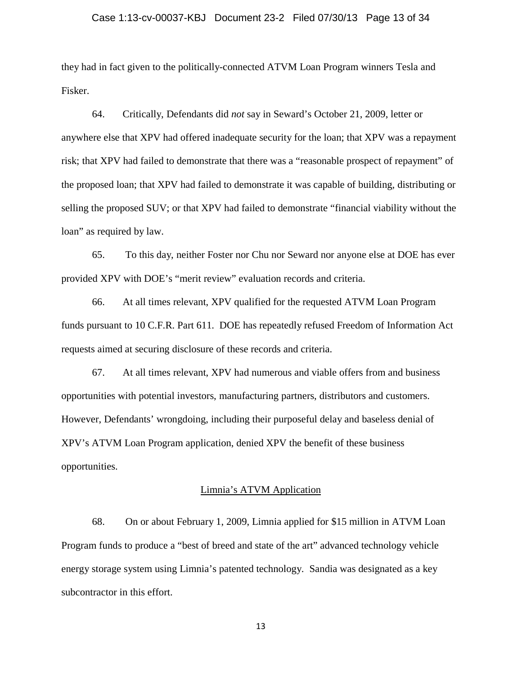## Case 1:13-cv-00037-KBJ Document 23-2 Filed 07/30/13 Page 13 of 34

they had in fact given to the politically-connected ATVM Loan Program winners Tesla and Fisker.

64. Critically, Defendants did *not* say in Seward's October 21, 2009, letter or anywhere else that XPV had offered inadequate security for the loan; that XPV was a repayment risk; that XPV had failed to demonstrate that there was a "reasonable prospect of repayment" of the proposed loan; that XPV had failed to demonstrate it was capable of building, distributing or selling the proposed SUV; or that XPV had failed to demonstrate "financial viability without the loan" as required by law.

65. To this day, neither Foster nor Chu nor Seward nor anyone else at DOE has ever provided XPV with DOE's "merit review" evaluation records and criteria.

66. At all times relevant, XPV qualified for the requested ATVM Loan Program funds pursuant to 10 C.F.R. Part 611. DOE has repeatedly refused Freedom of Information Act requests aimed at securing disclosure of these records and criteria.

67. At all times relevant, XPV had numerous and viable offers from and business opportunities with potential investors, manufacturing partners, distributors and customers. However, Defendants' wrongdoing, including their purposeful delay and baseless denial of XPV's ATVM Loan Program application, denied XPV the benefit of these business opportunities.

#### Limnia's ATVM Application

68. On or about February 1, 2009, Limnia applied for \$15 million in ATVM Loan Program funds to produce a "best of breed and state of the art" advanced technology vehicle energy storage system using Limnia's patented technology. Sandia was designated as a key subcontractor in this effort.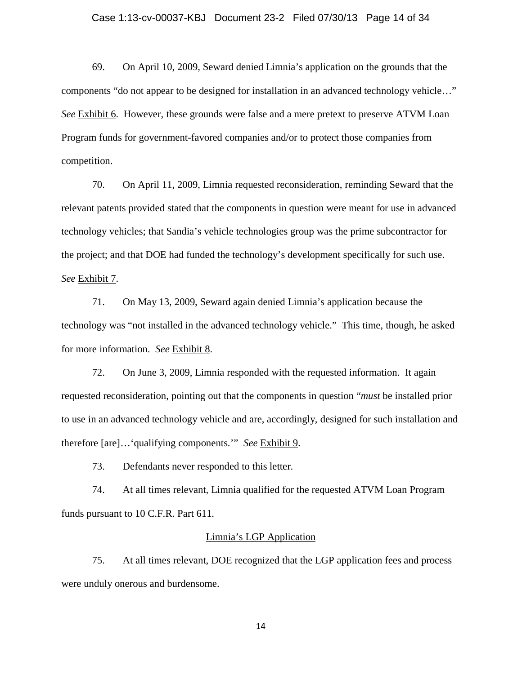#### Case 1:13-cv-00037-KBJ Document 23-2 Filed 07/30/13 Page 14 of 34

69. On April 10, 2009, Seward denied Limnia's application on the grounds that the components "do not appear to be designed for installation in an advanced technology vehicle…" *See* Exhibit 6. However, these grounds were false and a mere pretext to preserve ATVM Loan Program funds for government-favored companies and/or to protect those companies from competition.

70. On April 11, 2009, Limnia requested reconsideration, reminding Seward that the relevant patents provided stated that the components in question were meant for use in advanced technology vehicles; that Sandia's vehicle technologies group was the prime subcontractor for the project; and that DOE had funded the technology's development specifically for such use. *See* Exhibit 7.

71. On May 13, 2009, Seward again denied Limnia's application because the technology was "not installed in the advanced technology vehicle." This time, though, he asked for more information. *See* Exhibit 8.

72. On June 3, 2009, Limnia responded with the requested information. It again requested reconsideration, pointing out that the components in question "*must* be installed prior to use in an advanced technology vehicle and are, accordingly, designed for such installation and therefore [are]…'qualifying components.'" *See* Exhibit 9.

73. Defendants never responded to this letter.

74. At all times relevant, Limnia qualified for the requested ATVM Loan Program funds pursuant to 10 C.F.R. Part 611.

#### Limnia's LGP Application

75. At all times relevant, DOE recognized that the LGP application fees and process were unduly onerous and burdensome.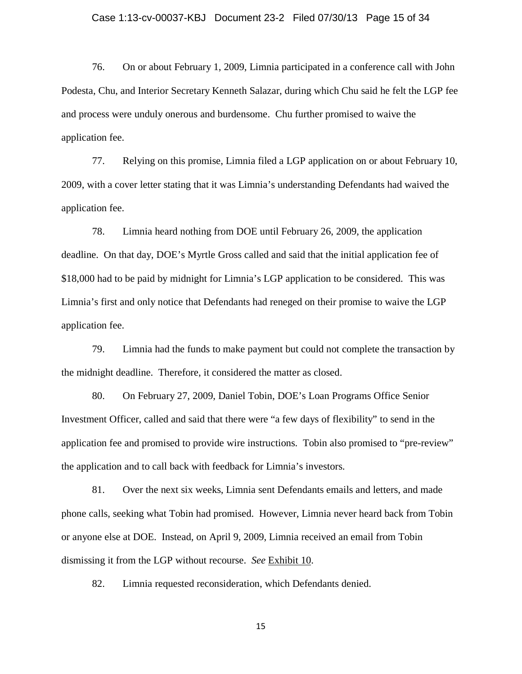## Case 1:13-cv-00037-KBJ Document 23-2 Filed 07/30/13 Page 15 of 34

76. On or about February 1, 2009, Limnia participated in a conference call with John Podesta, Chu, and Interior Secretary Kenneth Salazar, during which Chu said he felt the LGP fee and process were unduly onerous and burdensome. Chu further promised to waive the application fee.

77. Relying on this promise, Limnia filed a LGP application on or about February 10, 2009, with a cover letter stating that it was Limnia's understanding Defendants had waived the application fee.

78. Limnia heard nothing from DOE until February 26, 2009, the application deadline. On that day, DOE's Myrtle Gross called and said that the initial application fee of \$18,000 had to be paid by midnight for Limnia's LGP application to be considered. This was Limnia's first and only notice that Defendants had reneged on their promise to waive the LGP application fee.

79. Limnia had the funds to make payment but could not complete the transaction by the midnight deadline. Therefore, it considered the matter as closed.

80. On February 27, 2009, Daniel Tobin, DOE's Loan Programs Office Senior Investment Officer, called and said that there were "a few days of flexibility" to send in the application fee and promised to provide wire instructions. Tobin also promised to "pre-review" the application and to call back with feedback for Limnia's investors.

81. Over the next six weeks, Limnia sent Defendants emails and letters, and made phone calls, seeking what Tobin had promised. However, Limnia never heard back from Tobin or anyone else at DOE. Instead, on April 9, 2009, Limnia received an email from Tobin dismissing it from the LGP without recourse. *See* Exhibit 10.

82. Limnia requested reconsideration, which Defendants denied.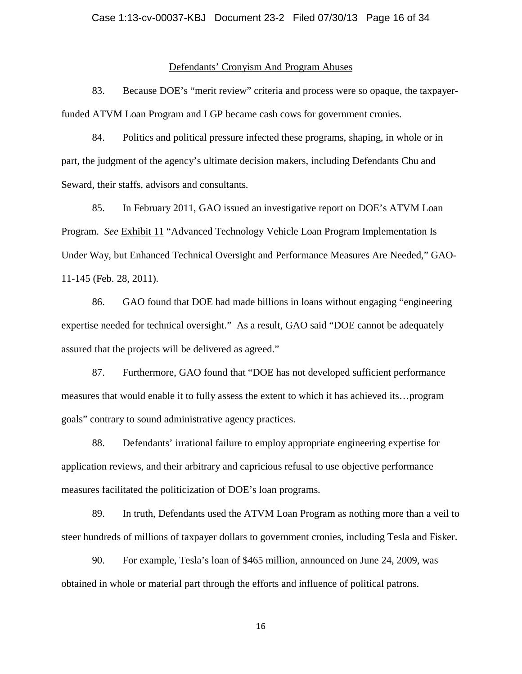#### Defendants' Cronyism And Program Abuses

83. Because DOE's "merit review" criteria and process were so opaque, the taxpayerfunded ATVM Loan Program and LGP became cash cows for government cronies.

84. Politics and political pressure infected these programs, shaping, in whole or in part, the judgment of the agency's ultimate decision makers, including Defendants Chu and Seward, their staffs, advisors and consultants.

85. In February 2011, GAO issued an investigative report on DOE's ATVM Loan Program. *See* Exhibit 11 "Advanced Technology Vehicle Loan Program Implementation Is Under Way, but Enhanced Technical Oversight and Performance Measures Are Needed," GAO-11-145 (Feb. 28, 2011).

86. GAO found that DOE had made billions in loans without engaging "engineering expertise needed for technical oversight." As a result, GAO said "DOE cannot be adequately assured that the projects will be delivered as agreed."

87. Furthermore, GAO found that "DOE has not developed sufficient performance measures that would enable it to fully assess the extent to which it has achieved its…program goals" contrary to sound administrative agency practices.

88. Defendants' irrational failure to employ appropriate engineering expertise for application reviews, and their arbitrary and capricious refusal to use objective performance measures facilitated the politicization of DOE's loan programs.

89. In truth, Defendants used the ATVM Loan Program as nothing more than a veil to steer hundreds of millions of taxpayer dollars to government cronies, including Tesla and Fisker.

90. For example, Tesla's loan of \$465 million, announced on June 24, 2009, was obtained in whole or material part through the efforts and influence of political patrons.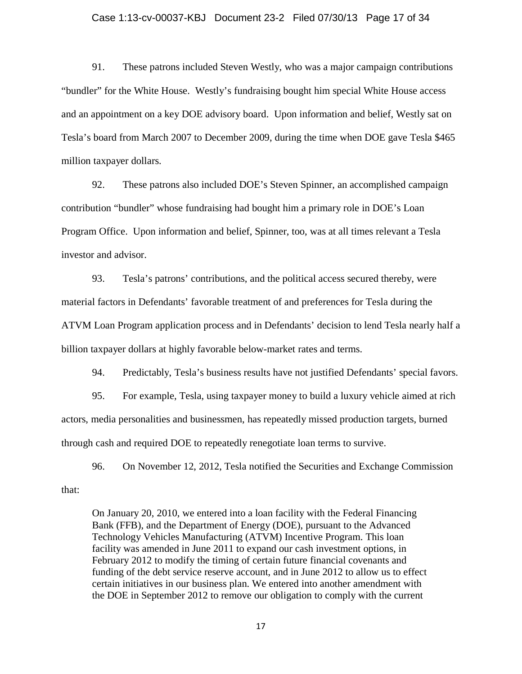#### Case 1:13-cv-00037-KBJ Document 23-2 Filed 07/30/13 Page 17 of 34

91. These patrons included Steven Westly, who was a major campaign contributions "bundler" for the White House. Westly's fundraising bought him special White House access and an appointment on a key DOE advisory board. Upon information and belief, Westly sat on Tesla's board from March 2007 to December 2009, during the time when DOE gave Tesla \$465 million taxpayer dollars.

92. These patrons also included DOE's Steven Spinner, an accomplished campaign contribution "bundler" whose fundraising had bought him a primary role in DOE's Loan Program Office. Upon information and belief, Spinner, too, was at all times relevant a Tesla investor and advisor.

93. Tesla's patrons' contributions, and the political access secured thereby, were material factors in Defendants' favorable treatment of and preferences for Tesla during the ATVM Loan Program application process and in Defendants' decision to lend Tesla nearly half a billion taxpayer dollars at highly favorable below-market rates and terms.

94. Predictably, Tesla's business results have not justified Defendants' special favors.

95. For example, Tesla, using taxpayer money to build a luxury vehicle aimed at rich actors, media personalities and businessmen, has repeatedly missed production targets, burned through cash and required DOE to repeatedly renegotiate loan terms to survive.

96. On November 12, 2012, Tesla notified the Securities and Exchange Commission that:

On January 20, 2010, we entered into a loan facility with the Federal Financing Bank (FFB), and the Department of Energy (DOE), pursuant to the Advanced Technology Vehicles Manufacturing (ATVM) Incentive Program. This loan facility was amended in June 2011 to expand our cash investment options, in February 2012 to modify the timing of certain future financial covenants and funding of the debt service reserve account, and in June 2012 to allow us to effect certain initiatives in our business plan. We entered into another amendment with the DOE in September 2012 to remove our obligation to comply with the current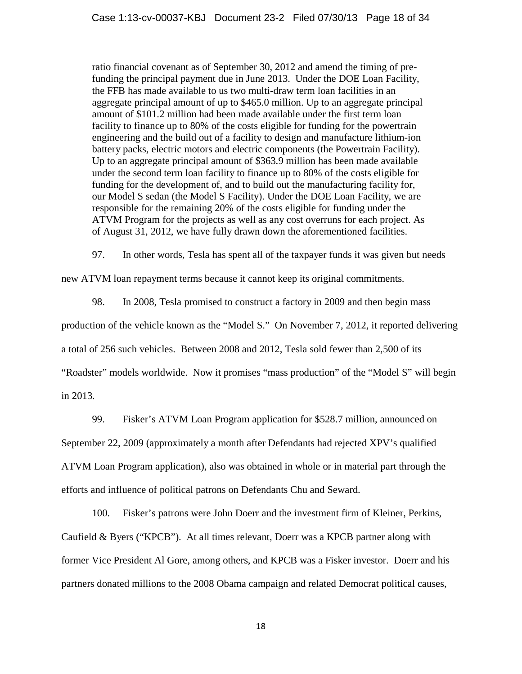ratio financial covenant as of September 30, 2012 and amend the timing of prefunding the principal payment due in June 2013. Under the DOE Loan Facility, the FFB has made available to us two multi-draw term loan facilities in an aggregate principal amount of up to \$465.0 million. Up to an aggregate principal amount of \$101.2 million had been made available under the first term loan facility to finance up to 80% of the costs eligible for funding for the powertrain engineering and the build out of a facility to design and manufacture lithium-ion battery packs, electric motors and electric components (the Powertrain Facility). Up to an aggregate principal amount of \$363.9 million has been made available under the second term loan facility to finance up to 80% of the costs eligible for funding for the development of, and to build out the manufacturing facility for, our Model S sedan (the Model S Facility). Under the DOE Loan Facility, we are responsible for the remaining 20% of the costs eligible for funding under the ATVM Program for the projects as well as any cost overruns for each project. As of August 31, 2012, we have fully drawn down the aforementioned facilities.

97. In other words, Tesla has spent all of the taxpayer funds it was given but needs

new ATVM loan repayment terms because it cannot keep its original commitments.

98. In 2008, Tesla promised to construct a factory in 2009 and then begin mass

production of the vehicle known as the "Model S." On November 7, 2012, it reported delivering

a total of 256 such vehicles. Between 2008 and 2012, Tesla sold fewer than 2,500 of its

"Roadster" models worldwide. Now it promises "mass production" of the "Model S" will begin

in 2013.

99. Fisker's ATVM Loan Program application for \$528.7 million, announced on

September 22, 2009 (approximately a month after Defendants had rejected XPV's qualified ATVM Loan Program application), also was obtained in whole or in material part through the

efforts and influence of political patrons on Defendants Chu and Seward.

100. Fisker's patrons were John Doerr and the investment firm of Kleiner, Perkins, Caufield & Byers ("KPCB"). At all times relevant, Doerr was a KPCB partner along with former Vice President Al Gore, among others, and KPCB was a Fisker investor. Doerr and his partners donated millions to the 2008 Obama campaign and related Democrat political causes,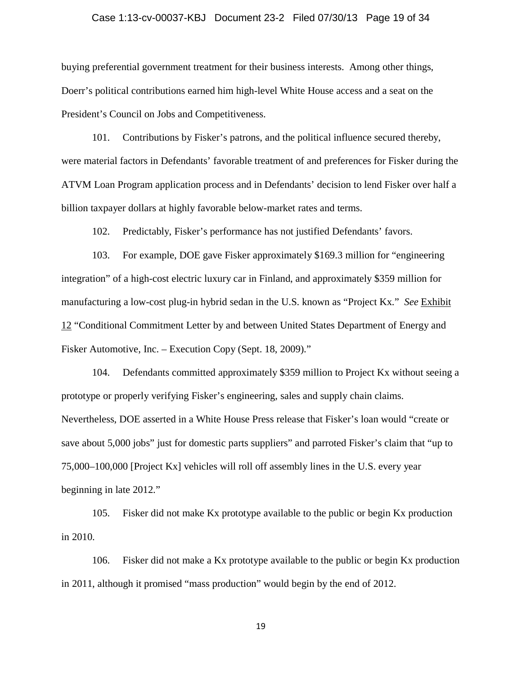## Case 1:13-cv-00037-KBJ Document 23-2 Filed 07/30/13 Page 19 of 34

buying preferential government treatment for their business interests. Among other things, Doerr's political contributions earned him high-level White House access and a seat on the President's Council on Jobs and Competitiveness.

101. Contributions by Fisker's patrons, and the political influence secured thereby, were material factors in Defendants' favorable treatment of and preferences for Fisker during the ATVM Loan Program application process and in Defendants' decision to lend Fisker over half a billion taxpayer dollars at highly favorable below-market rates and terms.

102. Predictably, Fisker's performance has not justified Defendants' favors.

103. For example, DOE gave Fisker approximately \$169.3 million for "engineering integration" of a high-cost electric luxury car in Finland, and approximately \$359 million for manufacturing a low-cost plug-in hybrid sedan in the U.S. known as "Project Kx." *See* Exhibit 12 "Conditional Commitment Letter by and between United States Department of Energy and Fisker Automotive, Inc. – Execution Copy (Sept. 18, 2009)."

104. Defendants committed approximately \$359 million to Project Kx without seeing a prototype or properly verifying Fisker's engineering, sales and supply chain claims. Nevertheless, DOE asserted in a White House Press release that Fisker's loan would "create or save about 5,000 jobs" just for domestic parts suppliers" and parroted Fisker's claim that "up to 75,000–100,000 [Project Kx] vehicles will roll off assembly lines in the U.S. every year beginning in late 2012."

105. Fisker did not make Kx prototype available to the public or begin Kx production in 2010.

106. Fisker did not make a Kx prototype available to the public or begin Kx production in 2011, although it promised "mass production" would begin by the end of 2012.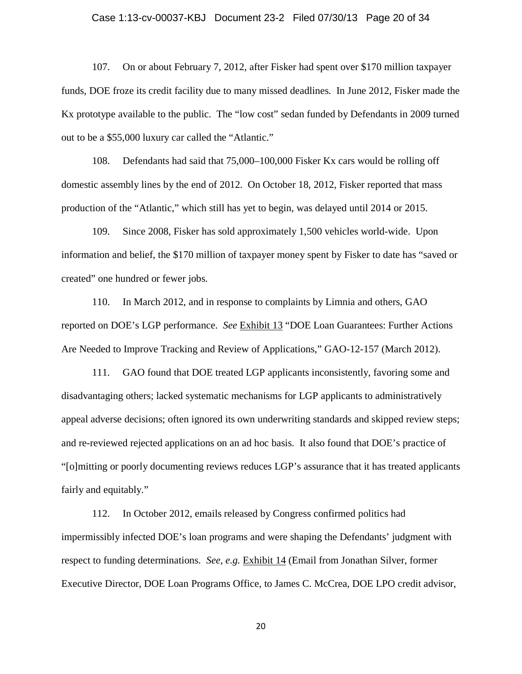## Case 1:13-cv-00037-KBJ Document 23-2 Filed 07/30/13 Page 20 of 34

107. On or about February 7, 2012, after Fisker had spent over \$170 million taxpayer funds, DOE froze its credit facility due to many missed deadlines. In June 2012, Fisker made the Kx prototype available to the public. The "low cost" sedan funded by Defendants in 2009 turned out to be a \$55,000 luxury car called the "Atlantic."

108. Defendants had said that 75,000–100,000 Fisker Kx cars would be rolling off domestic assembly lines by the end of 2012. On October 18, 2012, Fisker reported that mass production of the "Atlantic," which still has yet to begin, was delayed until 2014 or 2015.

109. Since 2008, Fisker has sold approximately 1,500 vehicles world-wide. Upon information and belief, the \$170 million of taxpayer money spent by Fisker to date has "saved or created" one hundred or fewer jobs.

110. In March 2012, and in response to complaints by Limnia and others, GAO reported on DOE's LGP performance. *See* Exhibit 13 "DOE Loan Guarantees: Further Actions Are Needed to Improve Tracking and Review of Applications," GAO-12-157 (March 2012).

111. GAO found that DOE treated LGP applicants inconsistently, favoring some and disadvantaging others; lacked systematic mechanisms for LGP applicants to administratively appeal adverse decisions; often ignored its own underwriting standards and skipped review steps; and re-reviewed rejected applications on an ad hoc basis. It also found that DOE's practice of "[o]mitting or poorly documenting reviews reduces LGP's assurance that it has treated applicants fairly and equitably."

112. In October 2012, emails released by Congress confirmed politics had impermissibly infected DOE's loan programs and were shaping the Defendants' judgment with respect to funding determinations. *See, e.g.* Exhibit 14 (Email from Jonathan Silver, former Executive Director, DOE Loan Programs Office, to James C. McCrea, DOE LPO credit advisor,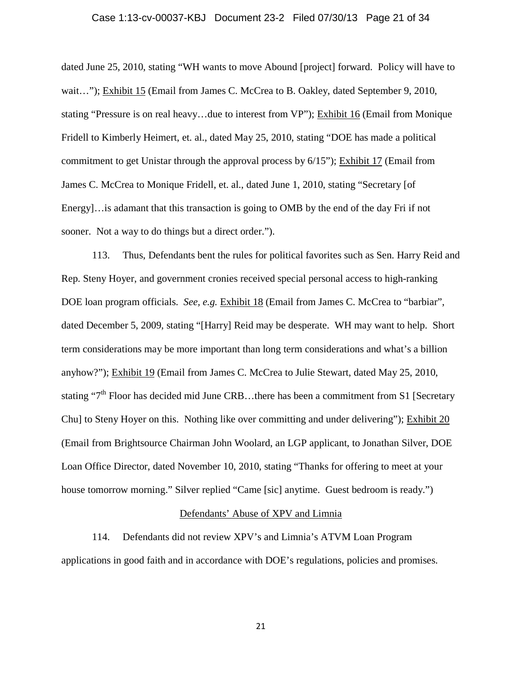## Case 1:13-cv-00037-KBJ Document 23-2 Filed 07/30/13 Page 21 of 34

dated June 25, 2010, stating "WH wants to move Abound [project] forward. Policy will have to wait..."); Exhibit 15 (Email from James C. McCrea to B. Oakley, dated September 9, 2010, stating "Pressure is on real heavy…due to interest from VP"); Exhibit 16 (Email from Monique Fridell to Kimberly Heimert, et. al., dated May 25, 2010, stating "DOE has made a political commitment to get Unistar through the approval process by 6/15"); Exhibit 17 (Email from James C. McCrea to Monique Fridell, et. al., dated June 1, 2010, stating "Secretary [of Energy]…is adamant that this transaction is going to OMB by the end of the day Fri if not sooner. Not a way to do things but a direct order.").

113. Thus, Defendants bent the rules for political favorites such as Sen. Harry Reid and Rep. Steny Hoyer, and government cronies received special personal access to high-ranking DOE loan program officials. *See, e.g.* Exhibit 18 (Email from James C. McCrea to "barbiar", dated December 5, 2009, stating "[Harry] Reid may be desperate. WH may want to help. Short term considerations may be more important than long term considerations and what's a billion anyhow?"); Exhibit 19 (Email from James C. McCrea to Julie Stewart, dated May 25, 2010, stating " $7<sup>th</sup>$  Floor has decided mid June CRB...there has been a commitment from S1 [Secretary Chu] to Steny Hoyer on this. Nothing like over committing and under delivering"); Exhibit 20 (Email from Brightsource Chairman John Woolard, an LGP applicant, to Jonathan Silver, DOE Loan Office Director, dated November 10, 2010, stating "Thanks for offering to meet at your house tomorrow morning." Silver replied "Came [sic] anytime. Guest bedroom is ready.")

## Defendants' Abuse of XPV and Limnia

114. Defendants did not review XPV's and Limnia's ATVM Loan Program applications in good faith and in accordance with DOE's regulations, policies and promises.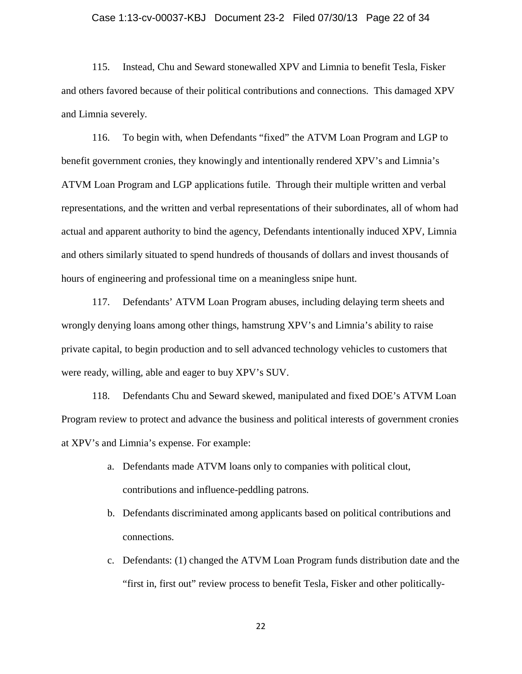## Case 1:13-cv-00037-KBJ Document 23-2 Filed 07/30/13 Page 22 of 34

115. Instead, Chu and Seward stonewalled XPV and Limnia to benefit Tesla, Fisker and others favored because of their political contributions and connections. This damaged XPV and Limnia severely.

116. To begin with, when Defendants "fixed" the ATVM Loan Program and LGP to benefit government cronies, they knowingly and intentionally rendered XPV's and Limnia's ATVM Loan Program and LGP applications futile. Through their multiple written and verbal representations, and the written and verbal representations of their subordinates, all of whom had actual and apparent authority to bind the agency, Defendants intentionally induced XPV, Limnia and others similarly situated to spend hundreds of thousands of dollars and invest thousands of hours of engineering and professional time on a meaningless snipe hunt.

117. Defendants' ATVM Loan Program abuses, including delaying term sheets and wrongly denying loans among other things, hamstrung XPV's and Limnia's ability to raise private capital, to begin production and to sell advanced technology vehicles to customers that were ready, willing, able and eager to buy XPV's SUV.

118. Defendants Chu and Seward skewed, manipulated and fixed DOE's ATVM Loan Program review to protect and advance the business and political interests of government cronies at XPV's and Limnia's expense. For example:

- a. Defendants made ATVM loans only to companies with political clout, contributions and influence-peddling patrons.
- b. Defendants discriminated among applicants based on political contributions and connections.
- c. Defendants: (1) changed the ATVM Loan Program funds distribution date and the "first in, first out" review process to benefit Tesla, Fisker and other politically-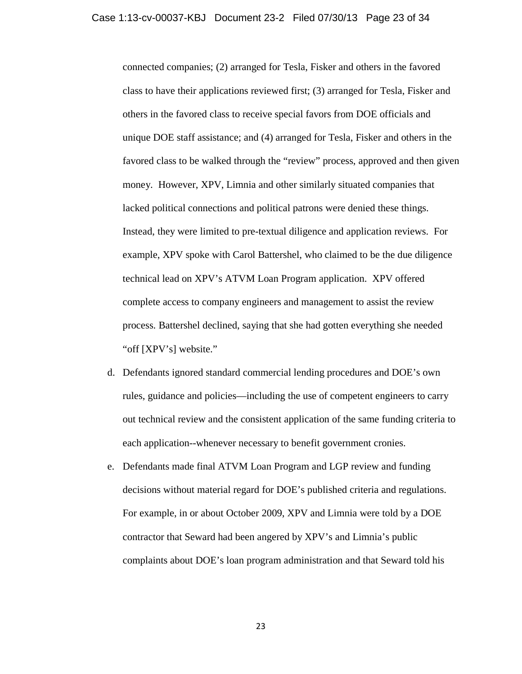connected companies; (2) arranged for Tesla, Fisker and others in the favored class to have their applications reviewed first; (3) arranged for Tesla, Fisker and others in the favored class to receive special favors from DOE officials and unique DOE staff assistance; and (4) arranged for Tesla, Fisker and others in the favored class to be walked through the "review" process, approved and then given money. However, XPV, Limnia and other similarly situated companies that lacked political connections and political patrons were denied these things. Instead, they were limited to pre-textual diligence and application reviews. For example, XPV spoke with Carol Battershel, who claimed to be the due diligence technical lead on XPV's ATVM Loan Program application. XPV offered complete access to company engineers and management to assist the review process. Battershel declined, saying that she had gotten everything she needed "off [XPV's] website."

- d. Defendants ignored standard commercial lending procedures and DOE's own rules, guidance and policies—including the use of competent engineers to carry out technical review and the consistent application of the same funding criteria to each application--whenever necessary to benefit government cronies.
- e. Defendants made final ATVM Loan Program and LGP review and funding decisions without material regard for DOE's published criteria and regulations. For example, in or about October 2009, XPV and Limnia were told by a DOE contractor that Seward had been angered by XPV's and Limnia's public complaints about DOE's loan program administration and that Seward told his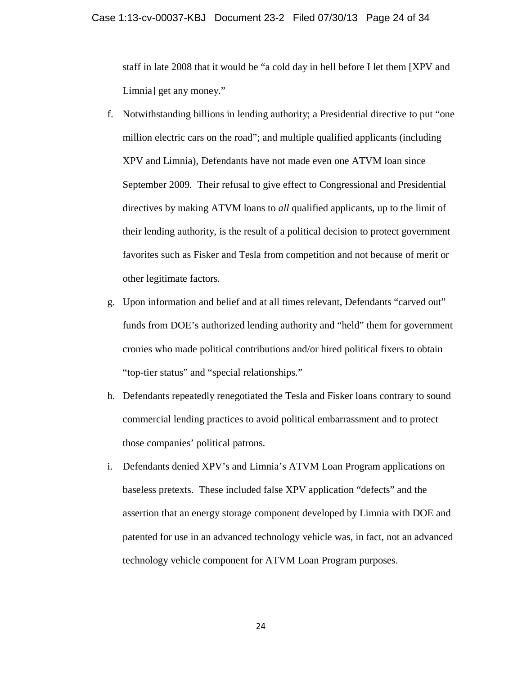staff in late 2008 that it would be "a cold day in hell before I let them [XPV and Limnia] get any money."

- f. Notwithstanding billions in lending authority; a Presidential directive to put "one million electric cars on the road"; and multiple qualified applicants (including XPV and Limnia), Defendants have not made even one ATVM loan since September 2009. Their refusal to give effect to Congressional and Presidential directives by making ATVM loans to *all* qualified applicants, up to the limit of their lending authority, is the result of a political decision to protect government favorites such as Fisker and Tesla from competition and not because of merit or other legitimate factors.
- g. Upon information and belief and at all times relevant, Defendants "carved out" funds from DOE's authorized lending authority and "held" them for government cronies who made political contributions and/or hired political fixers to obtain "top-tier status" and "special relationships."
- h. Defendants repeatedly renegotiated the Tesla and Fisker loans contrary to sound commercial lending practices to avoid political embarrassment and to protect those companies' political patrons.
- i. Defendants denied XPV's and Limnia's ATVM Loan Program applications on baseless pretexts. These included false XPV application "defects" and the assertion that an energy storage component developed by Limnia with DOE and patented for use in an advanced technology vehicle was, in fact, not an advanced technology vehicle component for ATVM Loan Program purposes.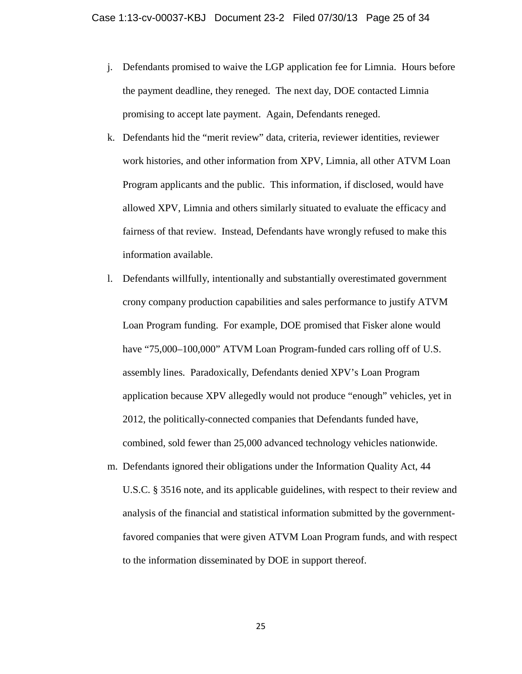- j. Defendants promised to waive the LGP application fee for Limnia. Hours before the payment deadline, they reneged. The next day, DOE contacted Limnia promising to accept late payment. Again, Defendants reneged.
- k. Defendants hid the "merit review" data, criteria, reviewer identities, reviewer work histories, and other information from XPV, Limnia, all other ATVM Loan Program applicants and the public. This information, if disclosed, would have allowed XPV, Limnia and others similarly situated to evaluate the efficacy and fairness of that review. Instead, Defendants have wrongly refused to make this information available.
- l. Defendants willfully, intentionally and substantially overestimated government crony company production capabilities and sales performance to justify ATVM Loan Program funding. For example, DOE promised that Fisker alone would have "75,000–100,000" ATVM Loan Program-funded cars rolling off of U.S. assembly lines. Paradoxically, Defendants denied XPV's Loan Program application because XPV allegedly would not produce "enough" vehicles, yet in 2012, the politically-connected companies that Defendants funded have, combined, sold fewer than 25,000 advanced technology vehicles nationwide.
- m. Defendants ignored their obligations under the Information Quality Act, 44 U.S.C. § 3516 note, and its applicable guidelines, with respect to their review and analysis of the financial and statistical information submitted by the governmentfavored companies that were given ATVM Loan Program funds, and with respect to the information disseminated by DOE in support thereof.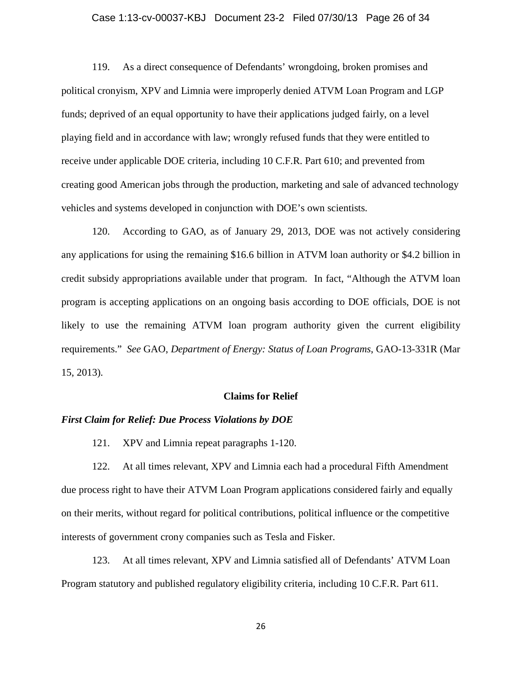## Case 1:13-cv-00037-KBJ Document 23-2 Filed 07/30/13 Page 26 of 34

119. As a direct consequence of Defendants' wrongdoing, broken promises and political cronyism, XPV and Limnia were improperly denied ATVM Loan Program and LGP funds; deprived of an equal opportunity to have their applications judged fairly, on a level playing field and in accordance with law; wrongly refused funds that they were entitled to receive under applicable DOE criteria, including 10 C.F.R. Part 610; and prevented from creating good American jobs through the production, marketing and sale of advanced technology vehicles and systems developed in conjunction with DOE's own scientists.

120. According to GAO, as of January 29, 2013, DOE was not actively considering any applications for using the remaining \$16.6 billion in ATVM loan authority or \$4.2 billion in credit subsidy appropriations available under that program. In fact, "Although the ATVM loan program is accepting applications on an ongoing basis according to DOE officials, DOE is not likely to use the remaining ATVM loan program authority given the current eligibility requirements." *See* GAO, *Department of Energy: Status of Loan Programs*, GAO-13-331R (Mar 15, 2013).

#### **Claims for Relief**

#### *First Claim for Relief: Due Process Violations by DOE*

121. XPV and Limnia repeat paragraphs 1-120.

122. At all times relevant, XPV and Limnia each had a procedural Fifth Amendment due process right to have their ATVM Loan Program applications considered fairly and equally on their merits, without regard for political contributions, political influence or the competitive interests of government crony companies such as Tesla and Fisker.

123. At all times relevant, XPV and Limnia satisfied all of Defendants' ATVM Loan Program statutory and published regulatory eligibility criteria, including 10 C.F.R. Part 611.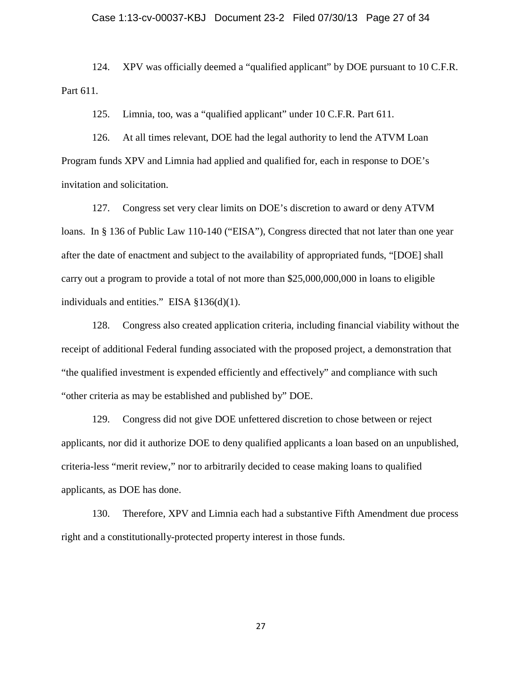124. XPV was officially deemed a "qualified applicant" by DOE pursuant to 10 C.F.R. Part 611.

125. Limnia, too, was a "qualified applicant" under 10 C.F.R. Part 611.

126. At all times relevant, DOE had the legal authority to lend the ATVM Loan Program funds XPV and Limnia had applied and qualified for, each in response to DOE's invitation and solicitation.

127. Congress set very clear limits on DOE's discretion to award or deny ATVM loans. In § 136 of Public Law 110-140 ("EISA"), Congress directed that not later than one year after the date of enactment and subject to the availability of appropriated funds, "[DOE] shall carry out a program to provide a total of not more than \$25,000,000,000 in loans to eligible individuals and entities." EISA  $\S 136(d)(1)$ .

128. Congress also created application criteria, including financial viability without the receipt of additional Federal funding associated with the proposed project, a demonstration that "the qualified investment is expended efficiently and effectively" and compliance with such "other criteria as may be established and published by" DOE.

129. Congress did not give DOE unfettered discretion to chose between or reject applicants, nor did it authorize DOE to deny qualified applicants a loan based on an unpublished, criteria-less "merit review," nor to arbitrarily decided to cease making loans to qualified applicants, as DOE has done.

130. Therefore, XPV and Limnia each had a substantive Fifth Amendment due process right and a constitutionally-protected property interest in those funds.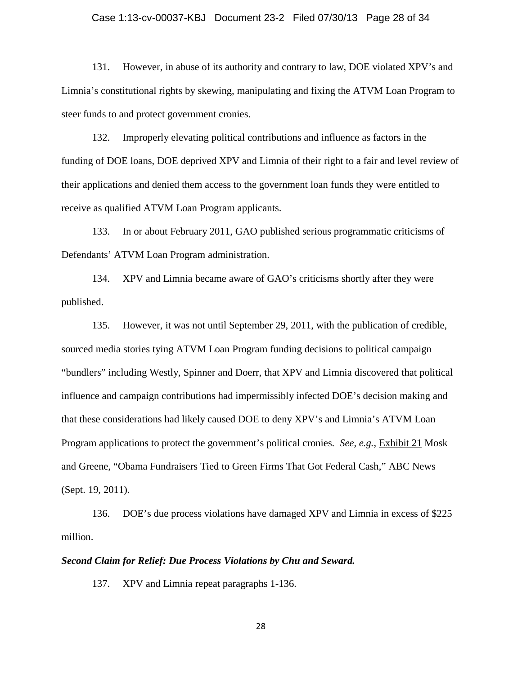#### Case 1:13-cv-00037-KBJ Document 23-2 Filed 07/30/13 Page 28 of 34

131. However, in abuse of its authority and contrary to law, DOE violated XPV's and Limnia's constitutional rights by skewing, manipulating and fixing the ATVM Loan Program to steer funds to and protect government cronies.

132. Improperly elevating political contributions and influence as factors in the funding of DOE loans, DOE deprived XPV and Limnia of their right to a fair and level review of their applications and denied them access to the government loan funds they were entitled to receive as qualified ATVM Loan Program applicants.

133. In or about February 2011, GAO published serious programmatic criticisms of Defendants' ATVM Loan Program administration.

134. XPV and Limnia became aware of GAO's criticisms shortly after they were published.

135. However, it was not until September 29, 2011, with the publication of credible, sourced media stories tying ATVM Loan Program funding decisions to political campaign "bundlers" including Westly, Spinner and Doerr, that XPV and Limnia discovered that political influence and campaign contributions had impermissibly infected DOE's decision making and that these considerations had likely caused DOE to deny XPV's and Limnia's ATVM Loan Program applications to protect the government's political cronies. *See, e.g.*, Exhibit 21 Mosk and Greene, "Obama Fundraisers Tied to Green Firms That Got Federal Cash," ABC News (Sept. 19, 2011).

136. DOE's due process violations have damaged XPV and Limnia in excess of \$225 million.

## *Second Claim for Relief: Due Process Violations by Chu and Seward.*

137. XPV and Limnia repeat paragraphs 1-136.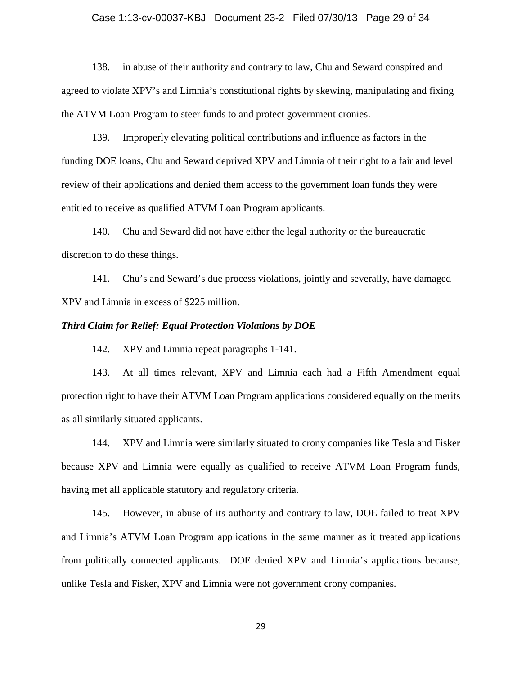#### Case 1:13-cv-00037-KBJ Document 23-2 Filed 07/30/13 Page 29 of 34

138. in abuse of their authority and contrary to law, Chu and Seward conspired and agreed to violate XPV's and Limnia's constitutional rights by skewing, manipulating and fixing the ATVM Loan Program to steer funds to and protect government cronies.

139. Improperly elevating political contributions and influence as factors in the funding DOE loans, Chu and Seward deprived XPV and Limnia of their right to a fair and level review of their applications and denied them access to the government loan funds they were entitled to receive as qualified ATVM Loan Program applicants.

140. Chu and Seward did not have either the legal authority or the bureaucratic discretion to do these things.

141. Chu's and Seward's due process violations, jointly and severally, have damaged XPV and Limnia in excess of \$225 million.

## *Third Claim for Relief: Equal Protection Violations by DOE*

142. XPV and Limnia repeat paragraphs 1-141.

143. At all times relevant, XPV and Limnia each had a Fifth Amendment equal protection right to have their ATVM Loan Program applications considered equally on the merits as all similarly situated applicants.

144. XPV and Limnia were similarly situated to crony companies like Tesla and Fisker because XPV and Limnia were equally as qualified to receive ATVM Loan Program funds, having met all applicable statutory and regulatory criteria.

145. However, in abuse of its authority and contrary to law, DOE failed to treat XPV and Limnia's ATVM Loan Program applications in the same manner as it treated applications from politically connected applicants. DOE denied XPV and Limnia's applications because, unlike Tesla and Fisker, XPV and Limnia were not government crony companies.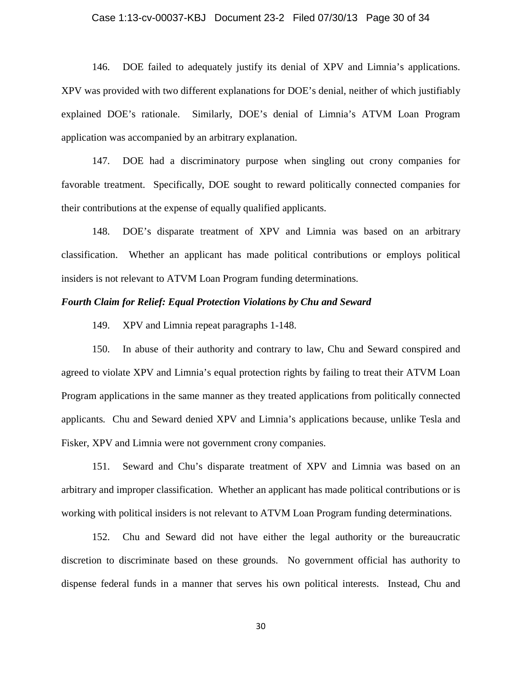#### Case 1:13-cv-00037-KBJ Document 23-2 Filed 07/30/13 Page 30 of 34

146. DOE failed to adequately justify its denial of XPV and Limnia's applications. XPV was provided with two different explanations for DOE's denial, neither of which justifiably explained DOE's rationale. Similarly, DOE's denial of Limnia's ATVM Loan Program application was accompanied by an arbitrary explanation.

147. DOE had a discriminatory purpose when singling out crony companies for favorable treatment. Specifically, DOE sought to reward politically connected companies for their contributions at the expense of equally qualified applicants.

148. DOE's disparate treatment of XPV and Limnia was based on an arbitrary classification. Whether an applicant has made political contributions or employs political insiders is not relevant to ATVM Loan Program funding determinations.

## *Fourth Claim for Relief: Equal Protection Violations by Chu and Seward*

149. XPV and Limnia repeat paragraphs 1-148.

150. In abuse of their authority and contrary to law, Chu and Seward conspired and agreed to violate XPV and Limnia's equal protection rights by failing to treat their ATVM Loan Program applications in the same manner as they treated applications from politically connected applicants. Chu and Seward denied XPV and Limnia's applications because, unlike Tesla and Fisker, XPV and Limnia were not government crony companies.

151. Seward and Chu's disparate treatment of XPV and Limnia was based on an arbitrary and improper classification. Whether an applicant has made political contributions or is working with political insiders is not relevant to ATVM Loan Program funding determinations.

152. Chu and Seward did not have either the legal authority or the bureaucratic discretion to discriminate based on these grounds. No government official has authority to dispense federal funds in a manner that serves his own political interests. Instead, Chu and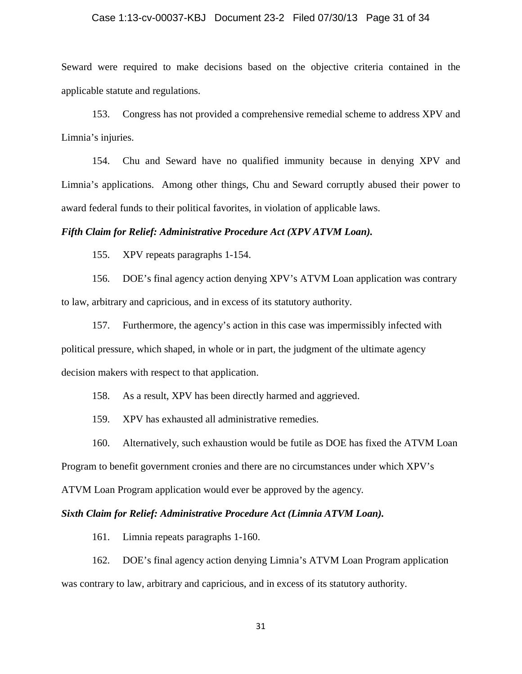#### Case 1:13-cv-00037-KBJ Document 23-2 Filed 07/30/13 Page 31 of 34

Seward were required to make decisions based on the objective criteria contained in the applicable statute and regulations.

153. Congress has not provided a comprehensive remedial scheme to address XPV and Limnia's injuries.

154. Chu and Seward have no qualified immunity because in denying XPV and Limnia's applications. Among other things, Chu and Seward corruptly abused their power to award federal funds to their political favorites, in violation of applicable laws.

## *Fifth Claim for Relief: Administrative Procedure Act (XPV ATVM Loan).*

155. XPV repeats paragraphs 1-154.

156. DOE's final agency action denying XPV's ATVM Loan application was contrary to law, arbitrary and capricious, and in excess of its statutory authority.

157. Furthermore, the agency's action in this case was impermissibly infected with political pressure, which shaped, in whole or in part, the judgment of the ultimate agency decision makers with respect to that application.

158. As a result, XPV has been directly harmed and aggrieved.

159. XPV has exhausted all administrative remedies.

160. Alternatively, such exhaustion would be futile as DOE has fixed the ATVM Loan

Program to benefit government cronies and there are no circumstances under which XPV's

ATVM Loan Program application would ever be approved by the agency.

## *Sixth Claim for Relief: Administrative Procedure Act (Limnia ATVM Loan).*

161. Limnia repeats paragraphs 1-160.

162. DOE's final agency action denying Limnia's ATVM Loan Program application was contrary to law, arbitrary and capricious, and in excess of its statutory authority.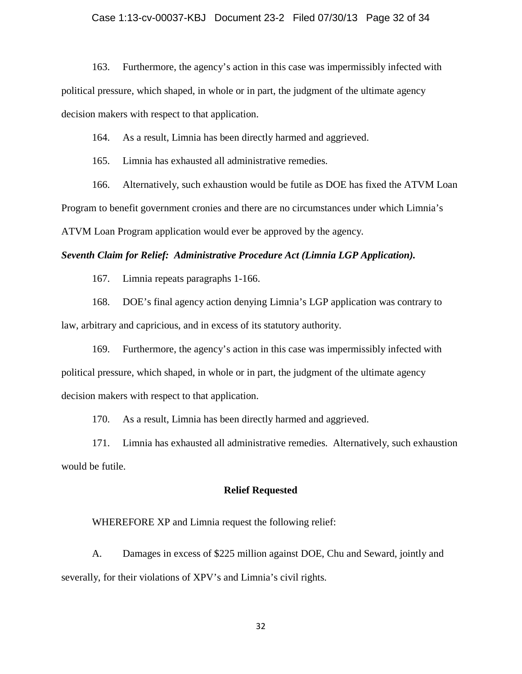## Case 1:13-cv-00037-KBJ Document 23-2 Filed 07/30/13 Page 32 of 34

163. Furthermore, the agency's action in this case was impermissibly infected with political pressure, which shaped, in whole or in part, the judgment of the ultimate agency decision makers with respect to that application.

164. As a result, Limnia has been directly harmed and aggrieved.

165. Limnia has exhausted all administrative remedies.

166. Alternatively, such exhaustion would be futile as DOE has fixed the ATVM Loan Program to benefit government cronies and there are no circumstances under which Limnia's ATVM Loan Program application would ever be approved by the agency.

## *Seventh Claim for Relief: Administrative Procedure Act (Limnia LGP Application).*

167. Limnia repeats paragraphs 1-166.

168. DOE's final agency action denying Limnia's LGP application was contrary to law, arbitrary and capricious, and in excess of its statutory authority.

169. Furthermore, the agency's action in this case was impermissibly infected with political pressure, which shaped, in whole or in part, the judgment of the ultimate agency decision makers with respect to that application.

170. As a result, Limnia has been directly harmed and aggrieved.

171. Limnia has exhausted all administrative remedies. Alternatively, such exhaustion would be futile.

## **Relief Requested**

WHEREFORE XP and Limnia request the following relief:

A. Damages in excess of \$225 million against DOE, Chu and Seward, jointly and severally, for their violations of XPV's and Limnia's civil rights.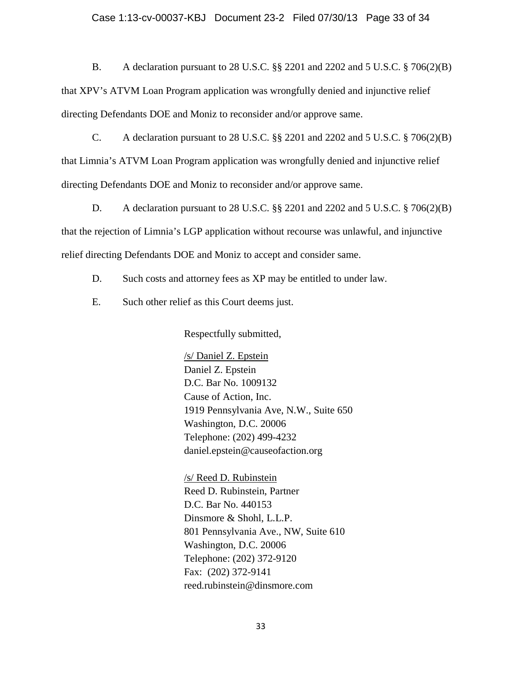#### Case 1:13-cv-00037-KBJ Document 23-2 Filed 07/30/13 Page 33 of 34

B. A declaration pursuant to 28 U.S.C. §§ 2201 and 2202 and 5 U.S.C. § 706(2)(B)

that XPV's ATVM Loan Program application was wrongfully denied and injunctive relief directing Defendants DOE and Moniz to reconsider and/or approve same.

C. A declaration pursuant to 28 U.S.C. §§ 2201 and 2202 and 5 U.S.C. § 706(2)(B) that Limnia's ATVM Loan Program application was wrongfully denied and injunctive relief directing Defendants DOE and Moniz to reconsider and/or approve same.

D. A declaration pursuant to 28 U.S.C. §§ 2201 and 2202 and 5 U.S.C. § 706(2)(B) that the rejection of Limnia's LGP application without recourse was unlawful, and injunctive relief directing Defendants DOE and Moniz to accept and consider same.

- D. Such costs and attorney fees as XP may be entitled to under law.
- E. Such other relief as this Court deems just.

Respectfully submitted,

/s/ Daniel Z. Epstein Daniel Z. Epstein D.C. Bar No. 1009132 Cause of Action, Inc. 1919 Pennsylvania Ave, N.W., Suite 650 Washington, D.C. 20006 Telephone: (202) 499-4232 daniel.epstein@causeofaction.org

/s/ Reed D. Rubinstein Reed D. Rubinstein, Partner D.C. Bar No. 440153 Dinsmore & Shohl, L.L.P. 801 Pennsylvania Ave., NW, Suite 610 Washington, D.C. 20006 Telephone: (202) 372-9120 Fax: (202) 372-9141 reed.rubinstein@dinsmore.com